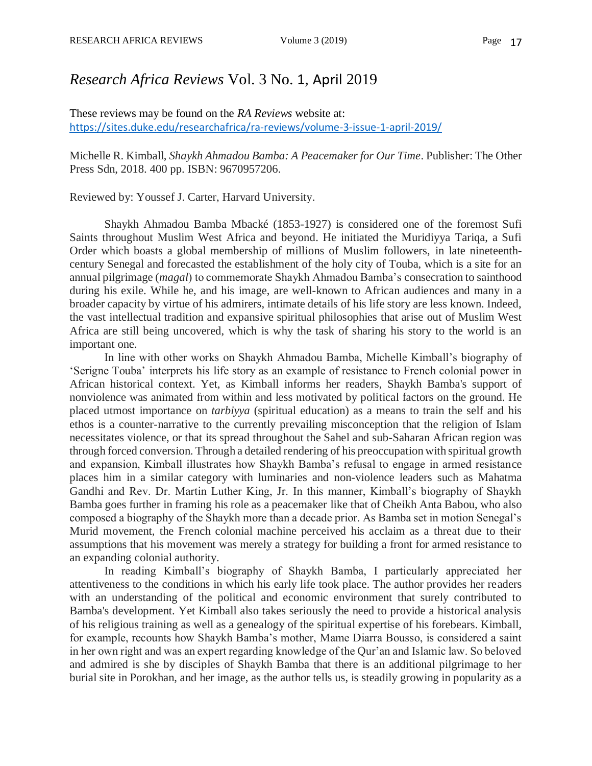## *Research Africa Reviews* Vol. 3 No. 1, April 2019

These reviews may be found on the *RA Reviews* website at: <https://sites.duke.edu/researchafrica/ra-reviews/volume-3-issue-1-april-2019/>

Michelle R. Kimball, *Shaykh Ahmadou Bamba: A Peacemaker for Our Time*. Publisher: The Other Press Sdn, 2018. 400 pp. ISBN: 9670957206.

Reviewed by: Youssef J. Carter, Harvard University.

Shaykh Ahmadou Bamba Mbacké (1853-1927) is considered one of the foremost Sufi Saints throughout Muslim West Africa and beyond. He initiated the Muridiyya Tariqa, a Sufi Order which boasts a global membership of millions of Muslim followers, in late nineteenthcentury Senegal and forecasted the establishment of the holy city of Touba, which is a site for an annual pilgrimage (*magal*) to commemorate Shaykh Ahmadou Bamba's consecration to sainthood during his exile. While he, and his image, are well-known to African audiences and many in a broader capacity by virtue of his admirers, intimate details of his life story are less known. Indeed, the vast intellectual tradition and expansive spiritual philosophies that arise out of Muslim West Africa are still being uncovered, which is why the task of sharing his story to the world is an important one.

In line with other works on Shaykh Ahmadou Bamba, Michelle Kimball's biography of 'Serigne Touba' interprets his life story as an example of resistance to French colonial power in African historical context. Yet, as Kimball informs her readers, Shaykh Bamba's support of nonviolence was animated from within and less motivated by political factors on the ground. He placed utmost importance on *tarbiyya* (spiritual education) as a means to train the self and his ethos is a counter-narrative to the currently prevailing misconception that the religion of Islam necessitates violence, or that its spread throughout the Sahel and sub-Saharan African region was through forced conversion. Through a detailed rendering of his preoccupation with spiritual growth and expansion, Kimball illustrates how Shaykh Bamba's refusal to engage in armed resistance places him in a similar category with luminaries and non-violence leaders such as Mahatma Gandhi and Rev. Dr. Martin Luther King, Jr. In this manner, Kimball's biography of Shaykh Bamba goes further in framing his role as a peacemaker like that of Cheikh Anta Babou, who also composed a biography of the Shaykh more than a decade prior. As Bamba set in motion Senegal's Murid movement, the French colonial machine perceived his acclaim as a threat due to their assumptions that his movement was merely a strategy for building a front for armed resistance to an expanding colonial authority.

In reading Kimball's biography of Shaykh Bamba, I particularly appreciated her attentiveness to the conditions in which his early life took place. The author provides her readers with an understanding of the political and economic environment that surely contributed to Bamba's development. Yet Kimball also takes seriously the need to provide a historical analysis of his religious training as well as a genealogy of the spiritual expertise of his forebears. Kimball, for example, recounts how Shaykh Bamba's mother, Mame Diarra Bousso, is considered a saint in her own right and was an expert regarding knowledge of the Qur'an and Islamic law. So beloved and admired is she by disciples of Shaykh Bamba that there is an additional pilgrimage to her burial site in Porokhan, and her image, as the author tells us, is steadily growing in popularity as a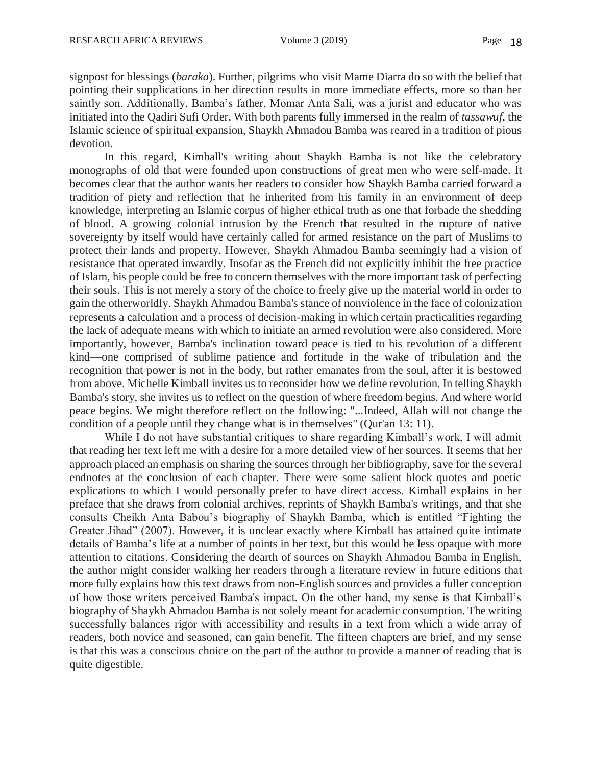signpost for blessings (*baraka*). Further, pilgrims who visit Mame Diarra do so with the belief that pointing their supplications in her direction results in more immediate effects, more so than her saintly son. Additionally, Bamba's father, Momar Anta Sali, was a jurist and educator who was initiated into the Qadiri Sufi Order. With both parents fully immersed in the realm of *tassawuf*, the Islamic science of spiritual expansion, Shaykh Ahmadou Bamba was reared in a tradition of pious devotion.

In this regard, Kimball's writing about Shaykh Bamba is not like the celebratory monographs of old that were founded upon constructions of great men who were self-made. It becomes clear that the author wants her readers to consider how Shaykh Bamba carried forward a tradition of piety and reflection that he inherited from his family in an environment of deep knowledge, interpreting an Islamic corpus of higher ethical truth as one that forbade the shedding of blood. A growing colonial intrusion by the French that resulted in the rupture of native sovereignty by itself would have certainly called for armed resistance on the part of Muslims to protect their lands and property. However, Shaykh Ahmadou Bamba seemingly had a vision of resistance that operated inwardly. Insofar as the French did not explicitly inhibit the free practice of Islam, his people could be free to concern themselves with the more important task of perfecting their souls. This is not merely a story of the choice to freely give up the material world in order to gain the otherworldly. Shaykh Ahmadou Bamba's stance of nonviolence in the face of colonization represents a calculation and a process of decision-making in which certain practicalities regarding the lack of adequate means with which to initiate an armed revolution were also considered. More importantly, however, Bamba's inclination toward peace is tied to his revolution of a different kind—one comprised of sublime patience and fortitude in the wake of tribulation and the recognition that power is not in the body, but rather emanates from the soul, after it is bestowed from above. Michelle Kimball invites us to reconsider how we define revolution. In telling Shaykh Bamba's story, she invites us to reflect on the question of where freedom begins. And where world peace begins. We might therefore reflect on the following: "...Indeed, Allah will not change the condition of a people until they change what is in themselves" (Qur'an 13: 11).

While I do not have substantial critiques to share regarding Kimball's work, I will admit that reading her text left me with a desire for a more detailed view of her sources. It seems that her approach placed an emphasis on sharing the sources through her bibliography, save for the several endnotes at the conclusion of each chapter. There were some salient block quotes and poetic explications to which I would personally prefer to have direct access. Kimball explains in her preface that she draws from colonial archives, reprints of Shaykh Bamba's writings, and that she consults Cheikh Anta Babou's biography of Shaykh Bamba, which is entitled "Fighting the Greater Jihad" (2007). However, it is unclear exactly where Kimball has attained quite intimate details of Bamba's life at a number of points in her text, but this would be less opaque with more attention to citations. Considering the dearth of sources on Shaykh Ahmadou Bamba in English, the author might consider walking her readers through a literature review in future editions that more fully explains how this text draws from non-English sources and provides a fuller conception of how those writers perceived Bamba's impact. On the other hand, my sense is that Kimball's biography of Shaykh Ahmadou Bamba is not solely meant for academic consumption. The writing successfully balances rigor with accessibility and results in a text from which a wide array of readers, both novice and seasoned, can gain benefit. The fifteen chapters are brief, and my sense is that this was a conscious choice on the part of the author to provide a manner of reading that is quite digestible.